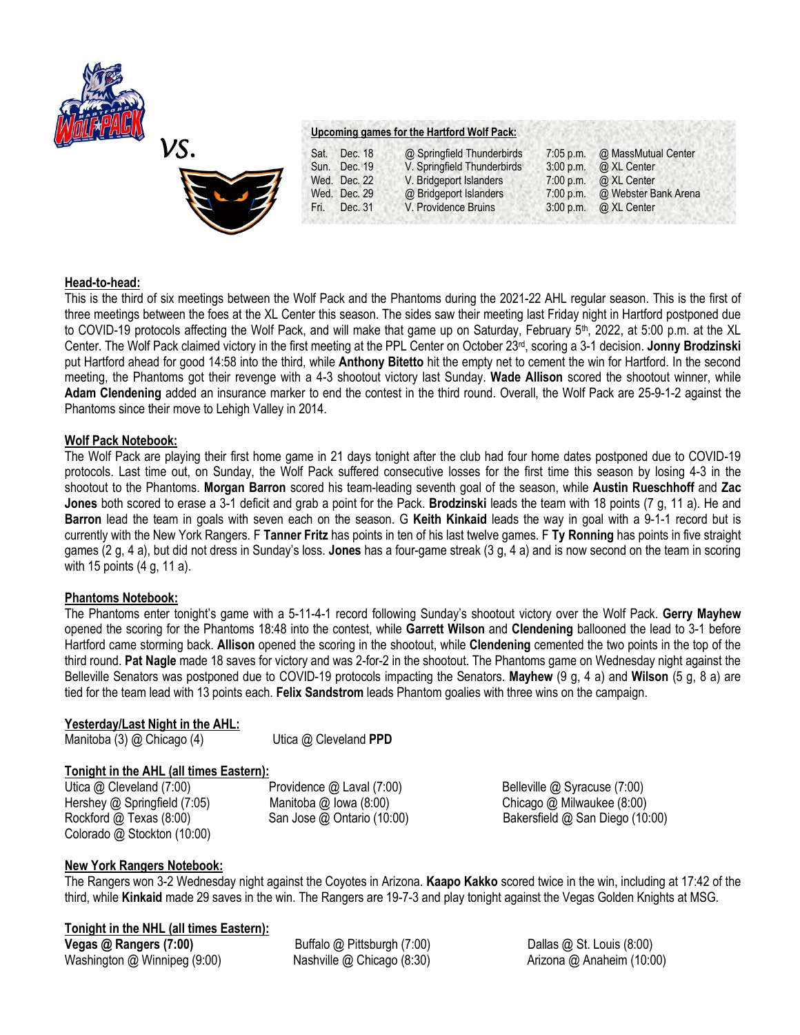



# **Head-to-head:**

This is the third of six meetings between the Wolf Pack and the Phantoms during the 2021-22 AHL regular season. This is the first of three meetings between the foes at the XL Center this season. The sides saw their meeting last Friday night in Hartford postponed due to COVID-19 protocols affecting the Wolf Pack, and will make that game up on Saturday, February 5<sup>th</sup>, 2022, at 5:00 p.m. at the XL Center. The Wolf Pack claimed victory in the first meeting at the PPL Center on October 23rd, scoring a 3-1 decision. **Jonny Brodzinski**  put Hartford ahead for good 14:58 into the third, while **Anthony Bitetto** hit the empty net to cement the win for Hartford. In the second meeting, the Phantoms got their revenge with a 4-3 shootout victory last Sunday. **Wade Allison** scored the shootout winner, while **Adam Clendening** added an insurance marker to end the contest in the third round. Overall, the Wolf Pack are 25-9-1-2 against the Phantoms since their move to Lehigh Valley in 2014.

## **Wolf Pack Notebook:**

The Wolf Pack are playing their first home game in 21 days tonight after the club had four home dates postponed due to COVID-19 protocols. Last time out, on Sunday, the Wolf Pack suffered consecutive losses for the first time this season by losing 4-3 in the shootout to the Phantoms. **Morgan Barron** scored his team-leading seventh goal of the season, while **Austin Rueschhoff** and **Zac Jones** both scored to erase a 3-1 deficit and grab a point for the Pack. **Brodzinski** leads the team with 18 points (7 g, 11 a). He and **Barron** lead the team in goals with seven each on the season. G **Keith Kinkaid** leads the way in goal with a 9-1-1 record but is currently with the New York Rangers. F **Tanner Fritz** has points in ten of his last twelve games. F **Ty Ronning** has points in five straight games (2 g, 4 a), but did not dress in Sunday's loss. **Jones** has a four-game streak (3 g, 4 a) and is now second on the team in scoring with 15 points (4 g, 11 a).

## **Phantoms Notebook:**

The Phantoms enter tonight's game with a 5-11-4-1 record following Sunday's shootout victory over the Wolf Pack. **Gerry Mayhew** opened the scoring for the Phantoms 18:48 into the contest, while **Garrett Wilson** and **Clendening** ballooned the lead to 3-1 before Hartford came storming back. **Allison** opened the scoring in the shootout, while **Clendening** cemented the two points in the top of the third round. **Pat Nagle** made 18 saves for victory and was 2-for-2 in the shootout. The Phantoms game on Wednesday night against the Belleville Senators was postponed due to COVID-19 protocols impacting the Senators. **Mayhew** (9 g, 4 a) and **Wilson** (5 g, 8 a) are tied for the team lead with 13 points each. **Felix Sandstrom** leads Phantom goalies with three wins on the campaign.

# **Yesterday/Last Night in the AHL:**

Manitoba (3) @ Chicago (4)Utica @ Cleveland **PPD**

# **Tonight in the AHL (all times Eastern):**

Hershey @ Springfield (7:05)Manitoba @ Iowa (8:00) Chicago @ Milwaukee (8:00) Colorado @ Stockton (10:00)

Utica @ Cleveland (7:00) **Providence @ Laval (7:00)** Belleville @ Syracuse (7:00)

Rockford @ Texas (8:00) San Jose @ Ontario (10:00) Bakersfield @ San Diego (10:00)

# **New York Rangers Notebook:**

The Rangers won 3-2 Wednesday night against the Coyotes in Arizona. **Kaapo Kakko** scored twice in the win, including at 17:42 of the third, while **Kinkaid** made 29 saves in the win. The Rangers are 19-7-3 and play tonight against the Vegas Golden Knights at MSG.

# **Tonight in the NHL (all times Eastern):**

**Vegas @ Rangers (7:00) Buffalo @ Pittsburgh (7:00)** Dallas @ St. Louis (8:00) Washington @ Winnipeg (9:00) Nashville @ Chicago (8:30) Arizona @ Anaheim (10:00)